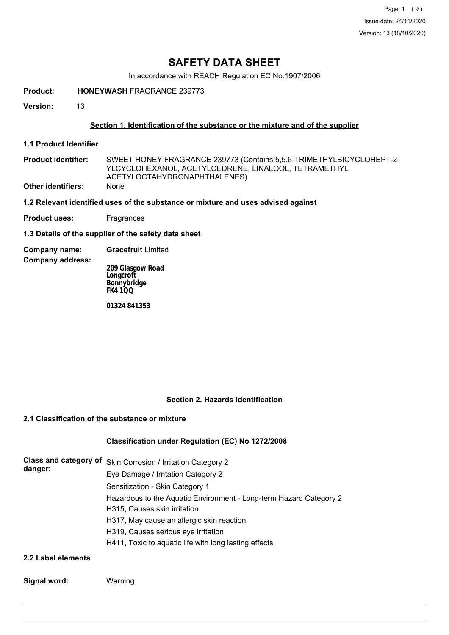## **SAFETY DATA SHEET**

In accordance with REACH Regulation EC No.1907/2006

**Product: HONEYWASH** FRAGRANCE 239773

**Version:** 13

### **Section 1. Identification of the substance or the mixture and of the supplier**

**1.1 Product Identifier**

SWEET HONEY FRAGRANCE 239773 (Contains:5,5,6-TRIMETHYLBICYCLOHEPT-2- YLCYCLOHEXANOL, ACETYLCEDRENE, LINALOOL, TETRAMETHYL ACETYLOCTAHYDRONAPHTHALENES) **Product identifier: Other identifiers:** None

#### **1.2 Relevant identified uses of the substance or mixture and uses advised against**

**Product uses:** Fragrances

**1.3 Details of the supplier of the safety data sheet**

**Company name: Gracefruit** Limited

**Company address:**

**209 Glasgow Road Longcroft Bonnybridge FK4 1QQ**

**01324 841353**

### **Section 2. Hazards identification**

#### **2.1 Classification of the substance or mixture**

## **Classification under Regulation (EC) No 1272/2008**

| <b>Class and category of</b><br>danger: | Skin Corrosion / Irritation Category 2                                                              |
|-----------------------------------------|-----------------------------------------------------------------------------------------------------|
|                                         | Eye Damage / Irritation Category 2                                                                  |
|                                         | Sensitization - Skin Category 1                                                                     |
|                                         | Hazardous to the Aquatic Environment - Long-term Hazard Category 2<br>H315, Causes skin irritation. |
|                                         | H317, May cause an allergic skin reaction.                                                          |
|                                         | H319, Causes serious eye irritation.                                                                |
|                                         | H411, Toxic to aquatic life with long lasting effects.                                              |
|                                         |                                                                                                     |

**2.2 Label elements**

**Signal word:** Warning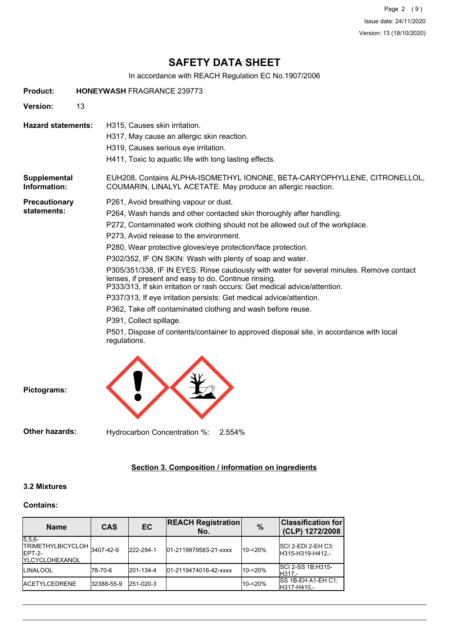Page 2 (9) Issue date: 24/11/2020 Version: 13 (18/10/2020)

## **SAFETY DATA SHEET**

In accordance with REACH Regulation EC No.1907/2006

| <b>Product:</b>              | <b>HONEYWASH FRAGRANCE 239773</b>                                                                                                                                                                                                                                                                                                                                                                                                                                                                                                                                                                                                                                                                                                                                                                                                                                                    |  |  |  |  |
|------------------------------|--------------------------------------------------------------------------------------------------------------------------------------------------------------------------------------------------------------------------------------------------------------------------------------------------------------------------------------------------------------------------------------------------------------------------------------------------------------------------------------------------------------------------------------------------------------------------------------------------------------------------------------------------------------------------------------------------------------------------------------------------------------------------------------------------------------------------------------------------------------------------------------|--|--|--|--|
| <b>Version:</b>              | 13                                                                                                                                                                                                                                                                                                                                                                                                                                                                                                                                                                                                                                                                                                                                                                                                                                                                                   |  |  |  |  |
| <b>Hazard statements:</b>    | H315, Causes skin irritation.<br>H317, May cause an allergic skin reaction.<br>H319, Causes serious eye irritation.<br>H411, Toxic to aquatic life with long lasting effects.                                                                                                                                                                                                                                                                                                                                                                                                                                                                                                                                                                                                                                                                                                        |  |  |  |  |
| Supplemental<br>Information: | EUH208, Contains ALPHA-ISOMETHYL IONONE, BETA-CARYOPHYLLENE, CITRONELLOL,<br>COUMARIN, LINALYL ACETATE. May produce an allergic reaction.                                                                                                                                                                                                                                                                                                                                                                                                                                                                                                                                                                                                                                                                                                                                            |  |  |  |  |
| Precautionary<br>statements: | P261, Avoid breathing vapour or dust.<br>P264, Wash hands and other contacted skin thoroughly after handling.<br>P272, Contaminated work clothing should not be allowed out of the workplace.<br>P273, Avoid release to the environment.<br>P280, Wear protective gloves/eye protection/face protection.<br>P302/352, IF ON SKIN: Wash with plenty of soap and water.<br>P305/351/338, IF IN EYES: Rinse cautiously with water for several minutes. Remove contact<br>lenses, if present and easy to do. Continue rinsing.<br>P333/313, If skin irritation or rash occurs: Get medical advice/attention.<br>P337/313, If eye irritation persists: Get medical advice/attention.<br>P362, Take off contaminated clothing and wash before reuse.<br>P391, Collect spillage.<br>P501, Dispose of contents/container to approved disposal site, in accordance with local<br>regulations. |  |  |  |  |

**Pictograms:**

**Other hazards:** Hydrocarbon Concentration %: 2.554%

## **Section 3. Composition / information on ingredients**

## **3.2 Mixtures**

## **Contains:**

| <b>Name</b>                                                                  | <b>CAS</b> | <b>EC</b> | <b>REACH Registration</b><br>No. | $\frac{0}{0}$ | <b>Classification for</b><br>(CLP) 1272/2008 |
|------------------------------------------------------------------------------|------------|-----------|----------------------------------|---------------|----------------------------------------------|
| $5.5.6-$<br>TRIMETHYLBICYCLOH 3407-42-9<br>IEPT-2-<br><b>IYLCYCLOHEXANOL</b> |            | 222-294-1 | 01-2119979583-21-xxxx            | $10 - 20%$    | $ SCI 2-EDI 2-EH C3$ ;<br>H315-H319-H412,-   |
| <b>LINALOOL</b>                                                              | 178-70-6   | 201-134-4 | 01-2119474016-42-xxxx            | 10-<20%       | SCI 2-SS 1B; H315-<br>IH317.-                |
| <b>IACETYLCEDRENE</b>                                                        | 32388-55-9 | 251-020-3 |                                  | $10 - 20%$    | <b>SS 1B-EH A1-EH C1:</b><br>H317-H410.-     |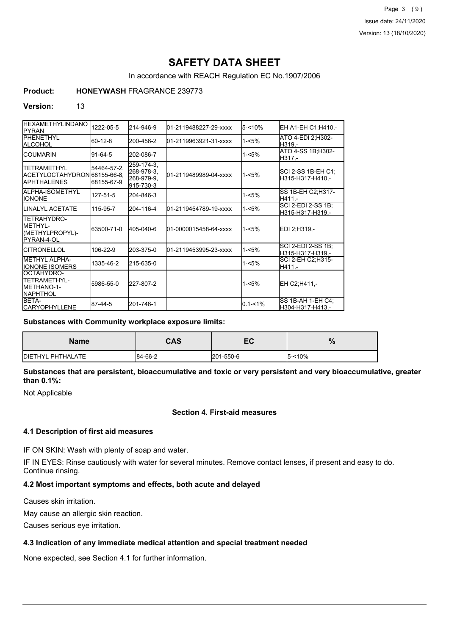Page 3 (9) Issue date: 24/11/2020 Version: 13 (18/10/2020)

# **SAFETY DATA SHEET**

In accordance with REACH Regulation EC No.1907/2006

## **Product: HONEYWASH** FRAGRANCE 239773

#### **Version:** 13

| <b>HEXAMETHYLINDANO</b><br><b>IPYRAN</b>                                     | 1222-05-5                  | 214-946-9                                           | 01-2119488227-29-xxxx  | $5 - 10%$                               | EH A1-EH C1;H410,-                     |
|------------------------------------------------------------------------------|----------------------------|-----------------------------------------------------|------------------------|-----------------------------------------|----------------------------------------|
| <b>IPHENETHYL</b><br><b>ALCOHOL</b>                                          | 60-12-8                    | 200-456-2                                           | 01-2119963921-31-xxxx  | ATO 4-EDI 2:H302-<br>$1 - 5%$<br>H319.- |                                        |
| ICOUMARIN                                                                    | 91-64-5                    | 202-086-7                                           |                        | $1 - 5%$                                | ATO 4-SS 1B; H302-<br>H317,-           |
| <b>ITETRAMETHYL</b><br>ACETYLOCTAHYDRON 68155-66-8.<br><b>IAPHTHALENES</b>   | 54464-57-2,<br> 68155-67-9 | 259-174-3.<br>268-978-3.<br>268-979-9,<br>915-730-3 | 01-2119489989-04-xxxx  | $1 - 5%$                                | SCI 2-SS 1B-EH C1;<br>H315-H317-H410.- |
| <b>I</b> ALPHA-ISOMETHYL<br><b>IONONE</b>                                    | 127-51-5                   | 204-846-3                                           |                        | 1-<5%                                   | SS 1B-EH C2;H317-<br>H411.-            |
| <b>I</b> LINALYL ACETATE                                                     | 115-95-7                   | 204-116-4                                           | 01-2119454789-19-xxxx  | $1 - 5%$                                | SCI 2-EDI 2-SS 1B:<br>H315-H317-H319.- |
| <b>TETRAHYDRO-</b><br><b>IMETHYL-</b><br>(METHYLPROPYL)-<br>PYRAN-4-OL       | 63500-71-0                 | 405-040-6                                           | 01-0000015458-64-xxxx  | $1 - 5%$                                | EDI 2:H319.-                           |
| ICITRONELLOL                                                                 | 106-22-9                   | 203-375-0                                           | l01-2119453995-23-xxxx | $1 - 5%$                                | SCI 2-EDI 2-SS 1B;<br>H315-H317-H319.- |
| <b>IMETHYL ALPHA-</b><br><b>IIONONE ISOMERS</b>                              | 1335-46-2                  | 215-635-0                                           |                        | 1-<5%                                   | SCI 2-EH C2;H315-<br>H411,-            |
| OCTAHYDRO-<br><b>ITETRAMETHYL-</b><br><b>IMETHANO-1-</b><br><b>INAPHTHOL</b> | 5986-55-0                  | 227-807-2                                           |                        | $1 - 5%$                                | EH C2:H411.-                           |
| <b>BETA-</b><br><b>CARYOPHYLLENE</b>                                         | 87-44-5                    | 201-746-1                                           |                        | $0.1 - 1%$                              | ISS 1B-AH 1-EH C4:<br>H304-H317-H413,- |

#### **Substances with Community workplace exposure limits:**

| Name                      | <b>CAS</b> | -0<br>ᄕ   | %         |
|---------------------------|------------|-----------|-----------|
| <b>IDIETHYL PHTHALATE</b> | 84-66-2    | 201-550-6 | $5 - 10%$ |

### **Substances that are persistent, bioaccumulative and toxic or very persistent and very bioaccumulative, greater than 0.1%:**

Not Applicable

## **Section 4. First-aid measures**

#### **4.1 Description of first aid measures**

IF ON SKIN: Wash with plenty of soap and water.

IF IN EYES: Rinse cautiously with water for several minutes. Remove contact lenses, if present and easy to do. Continue rinsing.

## **4.2 Most important symptoms and effects, both acute and delayed**

Causes skin irritation.

May cause an allergic skin reaction.

Causes serious eye irritation.

## **4.3 Indication of any immediate medical attention and special treatment needed**

None expected, see Section 4.1 for further information.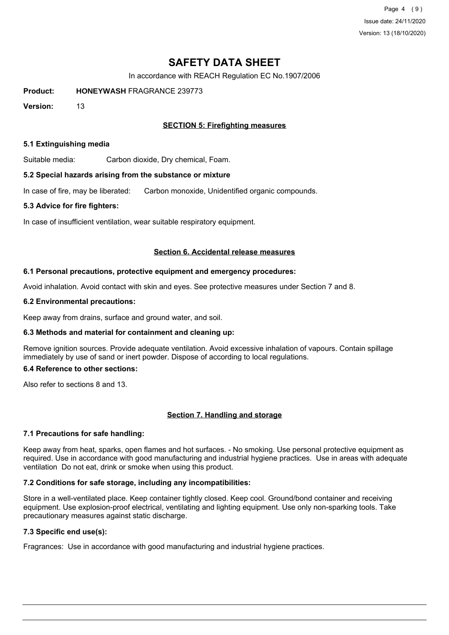Page 4 (9) Issue date: 24/11/2020 Version: 13 (18/10/2020)

## **SAFETY DATA SHEET**

In accordance with REACH Regulation EC No.1907/2006

**Product: HONEYWASH** FRAGRANCE 239773

**Version:** 13

## **SECTION 5: Firefighting measures**

#### **5.1 Extinguishing media**

Suitable media: Carbon dioxide, Dry chemical, Foam.

#### **5.2 Special hazards arising from the substance or mixture**

In case of fire, may be liberated: Carbon monoxide, Unidentified organic compounds.

#### **5.3 Advice for fire fighters:**

In case of insufficient ventilation, wear suitable respiratory equipment.

#### **Section 6. Accidental release measures**

#### **6.1 Personal precautions, protective equipment and emergency procedures:**

Avoid inhalation. Avoid contact with skin and eyes. See protective measures under Section 7 and 8.

#### **6.2 Environmental precautions:**

Keep away from drains, surface and ground water, and soil.

#### **6.3 Methods and material for containment and cleaning up:**

Remove ignition sources. Provide adequate ventilation. Avoid excessive inhalation of vapours. Contain spillage immediately by use of sand or inert powder. Dispose of according to local regulations.

### **6.4 Reference to other sections:**

Also refer to sections 8 and 13.

#### **Section 7. Handling and storage**

#### **7.1 Precautions for safe handling:**

Keep away from heat, sparks, open flames and hot surfaces. - No smoking. Use personal protective equipment as required. Use in accordance with good manufacturing and industrial hygiene practices. Use in areas with adequate ventilation Do not eat, drink or smoke when using this product.

#### **7.2 Conditions for safe storage, including any incompatibilities:**

Store in a well-ventilated place. Keep container tightly closed. Keep cool. Ground/bond container and receiving equipment. Use explosion-proof electrical, ventilating and lighting equipment. Use only non-sparking tools. Take precautionary measures against static discharge.

## **7.3 Specific end use(s):**

Fragrances: Use in accordance with good manufacturing and industrial hygiene practices.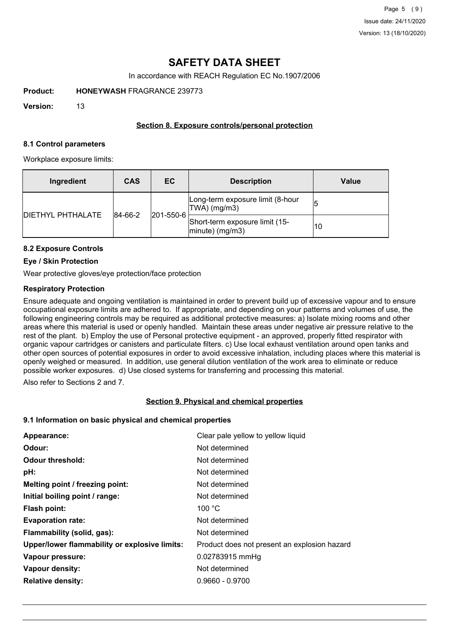# **SAFETY DATA SHEET**

In accordance with REACH Regulation EC No.1907/2006

**Product: HONEYWASH** FRAGRANCE 239773

**Version:** 13

## **Section 8. Exposure controls/personal protection**

#### **8.1 Control parameters**

Workplace exposure limits:

| Ingredient               | <b>CAS</b>           | EC                                                   | <b>Description</b>                                  | Value |
|--------------------------|----------------------|------------------------------------------------------|-----------------------------------------------------|-------|
| <b>DIETHYL PHTHALATE</b> | 201-550-6<br>84-66-2 |                                                      | Long-term exposure limit (8-hour<br>$ TWA $ (mg/m3) |       |
|                          |                      | Short-term exposure limit (15-<br>$ minute)$ (mg/m3) | 10                                                  |       |

## **8.2 Exposure Controls**

#### **Eye / Skin Protection**

Wear protective gloves/eye protection/face protection

## **Respiratory Protection**

Ensure adequate and ongoing ventilation is maintained in order to prevent build up of excessive vapour and to ensure occupational exposure limits are adhered to. If appropriate, and depending on your patterns and volumes of use, the following engineering controls may be required as additional protective measures: a) Isolate mixing rooms and other areas where this material is used or openly handled. Maintain these areas under negative air pressure relative to the rest of the plant. b) Employ the use of Personal protective equipment - an approved, properly fitted respirator with organic vapour cartridges or canisters and particulate filters. c) Use local exhaust ventilation around open tanks and other open sources of potential exposures in order to avoid excessive inhalation, including places where this material is openly weighed or measured. In addition, use general dilution ventilation of the work area to eliminate or reduce possible worker exposures. d) Use closed systems for transferring and processing this material.

Also refer to Sections 2 and 7.

#### **Section 9. Physical and chemical properties**

#### **9.1 Information on basic physical and chemical properties**

| Appearance:                                   | Clear pale yellow to yellow liquid           |
|-----------------------------------------------|----------------------------------------------|
| Odour:                                        | Not determined                               |
| <b>Odour threshold:</b>                       | Not determined                               |
| pH:                                           | Not determined                               |
| Melting point / freezing point:               | Not determined                               |
| Initial boiling point / range:                | Not determined                               |
| Flash point:                                  | 100 $\degree$ C                              |
| <b>Evaporation rate:</b>                      | Not determined                               |
| Flammability (solid, gas):                    | Not determined                               |
| Upper/lower flammability or explosive limits: | Product does not present an explosion hazard |
| Vapour pressure:                              | 0.02783915 mmHg                              |
| Vapour density:                               | Not determined                               |
| <b>Relative density:</b>                      | $0.9660 - 0.9700$                            |
|                                               |                                              |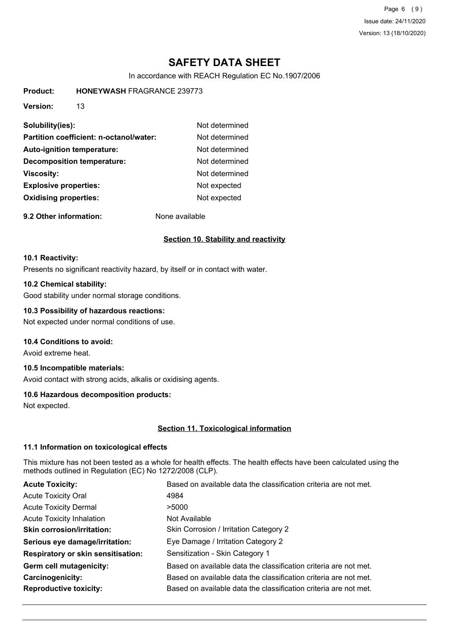Page 6 (9) Issue date: 24/11/2020 Version: 13 (18/10/2020)

# **SAFETY DATA SHEET**

In accordance with REACH Regulation EC No.1907/2006

**Product: HONEYWASH** FRAGRANCE 239773

**Version:** 13

| Solubility(ies):                        | Not determined |
|-----------------------------------------|----------------|
| Partition coefficient: n-octanol/water: | Not determined |
| Auto-ignition temperature:              | Not determined |
| <b>Decomposition temperature:</b>       | Not determined |
| <b>Viscosity:</b>                       | Not determined |
| <b>Explosive properties:</b>            | Not expected   |
| <b>Oxidising properties:</b>            | Not expected   |
|                                         |                |

**9.2 Other information:** None available

## **Section 10. Stability and reactivity**

#### **10.1 Reactivity:**

Presents no significant reactivity hazard, by itself or in contact with water.

#### **10.2 Chemical stability:**

Good stability under normal storage conditions.

### **10.3 Possibility of hazardous reactions:**

Not expected under normal conditions of use.

## **10.4 Conditions to avoid:**

Avoid extreme heat.

## **10.5 Incompatible materials:**

Avoid contact with strong acids, alkalis or oxidising agents.

#### **10.6 Hazardous decomposition products:**

Not expected.

#### **Section 11. Toxicological information**

#### **11.1 Information on toxicological effects**

This mixture has not been tested as a whole for health effects. The health effects have been calculated using the methods outlined in Regulation (EC) No 1272/2008 (CLP).

| <b>Acute Toxicity:</b>                    | Based on available data the classification criteria are not met. |
|-------------------------------------------|------------------------------------------------------------------|
| <b>Acute Toxicity Oral</b>                | 4984                                                             |
| <b>Acute Toxicity Dermal</b>              | >5000                                                            |
| <b>Acute Toxicity Inhalation</b>          | Not Available                                                    |
| <b>Skin corrosion/irritation:</b>         | Skin Corrosion / Irritation Category 2                           |
| Serious eye damage/irritation:            | Eye Damage / Irritation Category 2                               |
| <b>Respiratory or skin sensitisation:</b> | Sensitization - Skin Category 1                                  |
| Germ cell mutagenicity:                   | Based on available data the classification criteria are not met. |
| Carcinogenicity:                          | Based on available data the classification criteria are not met. |
| <b>Reproductive toxicity:</b>             | Based on available data the classification criteria are not met. |
|                                           |                                                                  |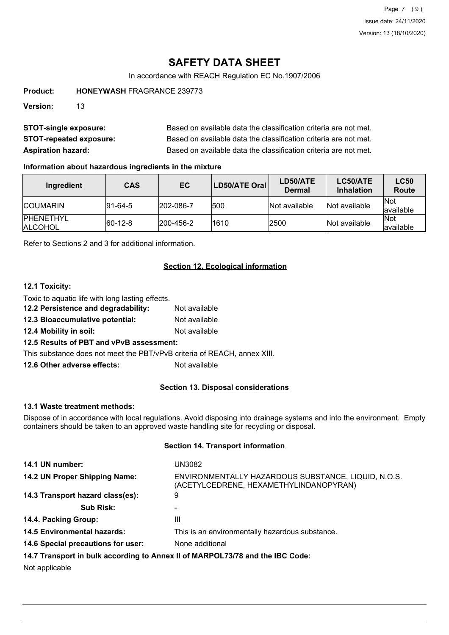Page 7 (9) Issue date: 24/11/2020 Version: 13 (18/10/2020)

# **SAFETY DATA SHEET**

In accordance with REACH Regulation EC No.1907/2006

**Product: HONEYWASH** FRAGRANCE 239773

**Version:** 13

| <b>STOT-single exposure:</b>   | Based on available data the classification criteria are not met. |
|--------------------------------|------------------------------------------------------------------|
| <b>STOT-repeated exposure:</b> | Based on available data the classification criteria are not met. |
| <b>Aspiration hazard:</b>      | Based on available data the classification criteria are not met. |

#### **Information about hazardous ingredients in the mixture**

| Ingredient                          | <b>CAS</b>  | EC.               | LD50/ATE Oral | LD50/ATE<br>Dermal | LC50/ATE<br><b>Inhalation</b> | <b>LC50</b><br><b>Route</b> |
|-------------------------------------|-------------|-------------------|---------------|--------------------|-------------------------------|-----------------------------|
| <b>ICOUMARIN</b>                    | $ 91-64-5 $ | $ 202 - 086 - 7$  | 1500          | Not available      | Not available                 | <b>Not</b><br>lavailable    |
| <b>IPHENETHYL</b><br><b>ALCOHOL</b> | $ 60-12-8 $ | $ 200 - 456 - 2 $ | 1610          | 2500               | Not available                 | <b>Not</b><br>lavailable    |

Refer to Sections 2 and 3 for additional information.

## **Section 12. Ecological information**

## **12.1 Toxicity:**

Toxic to aquatic life with long lasting effects.

- **12.2 Persistence and degradability:** Not available
- **12.3 Bioaccumulative potential:** Not available
- **12.4 Mobility in soil:** Not available

## **12.5 Results of PBT and vPvB assessment:**

This substance does not meet the PBT/vPvB criteria of REACH, annex XIII.

**12.6 Other adverse effects:** Not available

#### **Section 13. Disposal considerations**

#### **13.1 Waste treatment methods:**

Dispose of in accordance with local regulations. Avoid disposing into drainage systems and into the environment. Empty containers should be taken to an approved waste handling site for recycling or disposal.

### **Section 14. Transport information**

| 14.1 UN number:                                                               | UN3082                                                                                        |
|-------------------------------------------------------------------------------|-----------------------------------------------------------------------------------------------|
| 14.2 UN Proper Shipping Name:                                                 | ENVIRONMENTALLY HAZARDOUS SUBSTANCE, LIQUID, N.O.S.<br>(ACETYLCEDRENE, HEXAMETHYLINDANOPYRAN) |
| 14.3 Transport hazard class(es):                                              | 9                                                                                             |
| <b>Sub Risk:</b>                                                              |                                                                                               |
| 14.4. Packing Group:                                                          | Ш                                                                                             |
| <b>14.5 Environmental hazards:</b>                                            | This is an environmentally hazardous substance.                                               |
| 14.6 Special precautions for user:                                            | None additional                                                                               |
| 14.7 Transport in bulk according to Annex II of MARPOL73/78 and the IBC Code: |                                                                                               |

Not applicable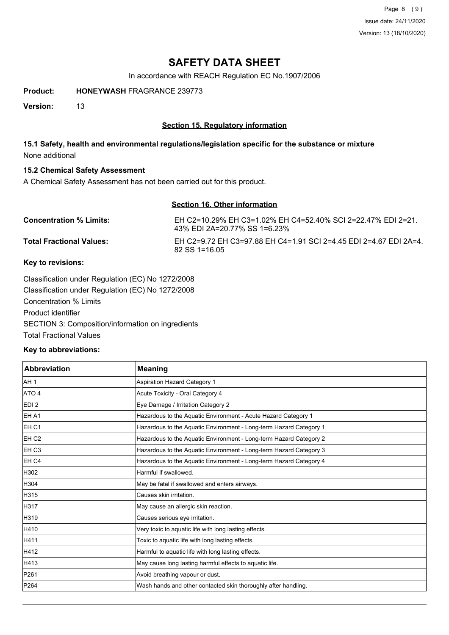Page 8 (9) Issue date: 24/11/2020 Version: 13 (18/10/2020)

## **SAFETY DATA SHEET**

In accordance with REACH Regulation EC No.1907/2006

**Product: HONEYWASH** FRAGRANCE 239773

**Version:** 13

## **Section 15. Regulatory information**

## **15.1 Safety, health and environmental regulations/legislation specific for the substance or mixture** None additional

## **15.2 Chemical Safety Assessment**

A Chemical Safety Assessment has not been carried out for this product.

## **Section 16. Other information**

| <b>Concentration % Limits:</b>  | EH C2=10.29% EH C3=1.02% EH C4=52.40% SCI 2=22.47% EDI 2=21.<br>43% EDI 2A=20.77% SS 1=6.23% |
|---------------------------------|----------------------------------------------------------------------------------------------|
| <b>Total Fractional Values:</b> | EH C2=9.72 EH C3=97.88 EH C4=1.91 SCI 2=4.45 EDI 2=4.67 EDI 2A=4.<br>$82$ SS 1=16.05         |

## **Key to revisions:**

Classification under Regulation (EC) No 1272/2008 Classification under Regulation (EC) No 1272/2008 Concentration % Limits Product identifier SECTION 3: Composition/information on ingredients Total Fractional Values

## **Key to abbreviations:**

| Abbreviation     | <b>Meaning</b>                                                     |
|------------------|--------------------------------------------------------------------|
| AH <sub>1</sub>  | Aspiration Hazard Category 1                                       |
| ATO 4            | Acute Toxicity - Oral Category 4                                   |
| EDI <sub>2</sub> | Eye Damage / Irritation Category 2                                 |
| <b>EHA1</b>      | Hazardous to the Aquatic Environment - Acute Hazard Category 1     |
| EH <sub>C1</sub> | Hazardous to the Aquatic Environment - Long-term Hazard Category 1 |
| EH <sub>C2</sub> | Hazardous to the Aquatic Environment - Long-term Hazard Category 2 |
| <b>IEH C3</b>    | Hazardous to the Aquatic Environment - Long-term Hazard Category 3 |
| EH <sub>C4</sub> | Hazardous to the Aquatic Environment - Long-term Hazard Category 4 |
| H302             | Harmful if swallowed.                                              |
| H304             | May be fatal if swallowed and enters airways.                      |
| H315             | Causes skin irritation.                                            |
| H317             | May cause an allergic skin reaction.                               |
| H319             | Causes serious eye irritation.                                     |
| H410             | Very toxic to aquatic life with long lasting effects.              |
| H411             | Toxic to aquatic life with long lasting effects.                   |
| H412             | Harmful to aquatic life with long lasting effects.                 |
| H413             | May cause long lasting harmful effects to aquatic life.            |
| P261             | Avoid breathing vapour or dust.                                    |
| P264             | Wash hands and other contacted skin thoroughly after handling.     |